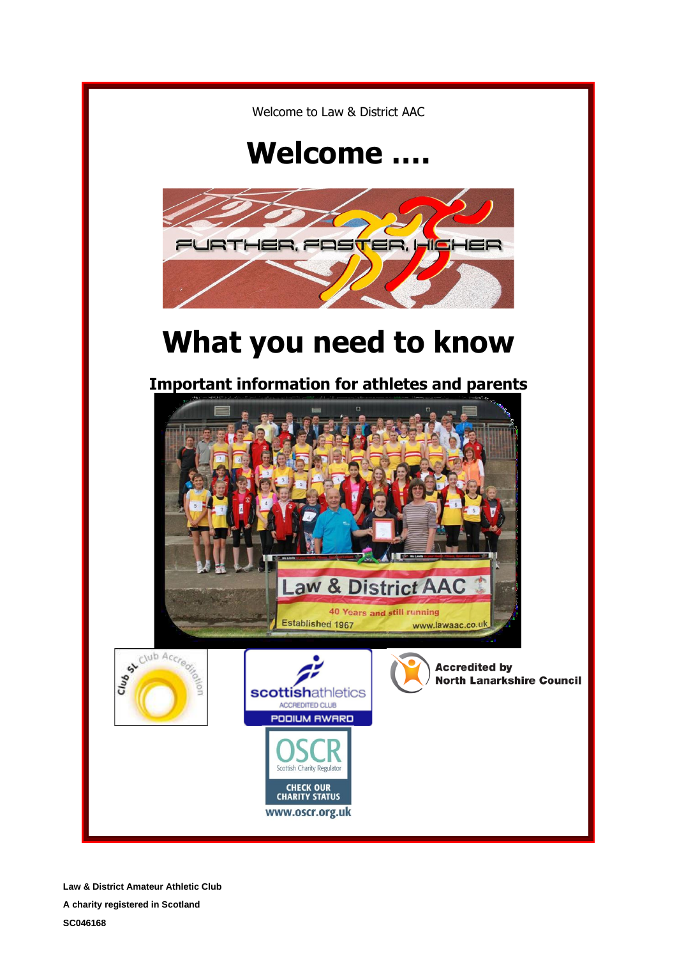

**Law & District Amateur Athletic Club**

**A charity registered in Scotland SC046168**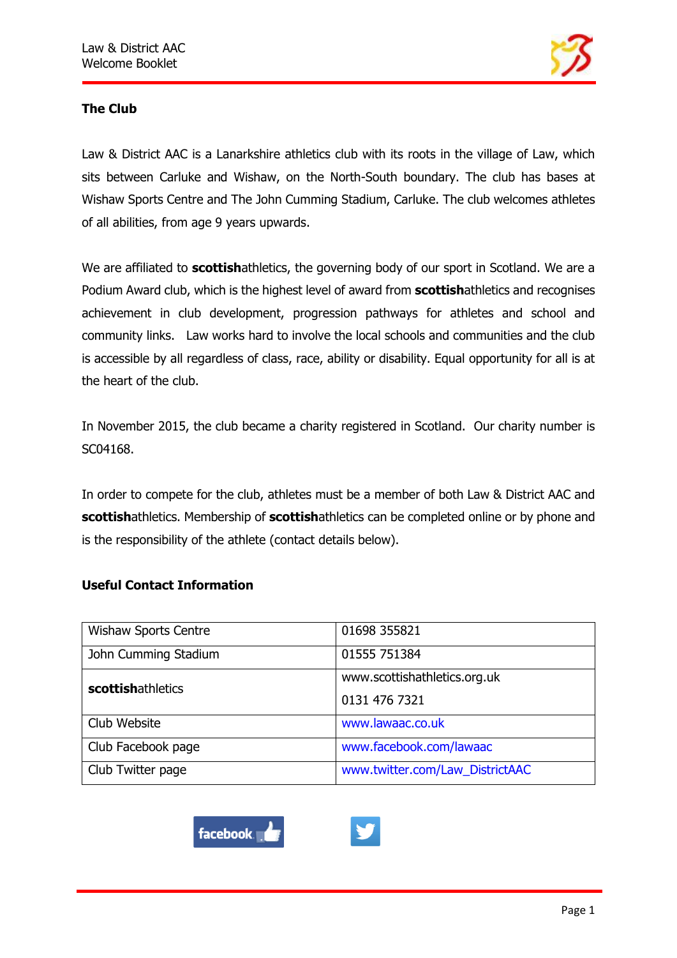

# **The Club**

Law & District AAC is a Lanarkshire athletics club with its roots in the village of Law, which sits between Carluke and Wishaw, on the North-South boundary. The club has bases at Wishaw Sports Centre and The John Cumming Stadium, Carluke. The club welcomes athletes of all abilities, from age 9 years upwards.

We are affiliated to **scottish**athletics, the governing body of our sport in Scotland. We are a Podium Award club, which is the highest level of award from **scottish**athletics and recognises achievement in club development, progression pathways for athletes and school and community links. Law works hard to involve the local schools and communities and the club is accessible by all regardless of class, race, ability or disability. Equal opportunity for all is at the heart of the club.

In November 2015, the club became a charity registered in Scotland. Our charity number is SC04168.

In order to compete for the club, athletes must be a member of both Law & District AAC and **scottish**athletics. Membership of **scottish**athletics can be completed online or by phone and is the responsibility of the athlete (contact details below).

## **Useful Contact Information**

| <b>Wishaw Sports Centre</b> | 01698 355821                    |
|-----------------------------|---------------------------------|
| John Cumming Stadium        | 01555 751384                    |
| scottishathletics           | www.scottishathletics.org.uk    |
|                             | 0131 476 7321                   |
| Club Website                | www.lawaac.co.uk                |
| Club Facebook page          | www.facebook.com/lawaac         |
| Club Twitter page           | www.twitter.com/Law_DistrictAAC |



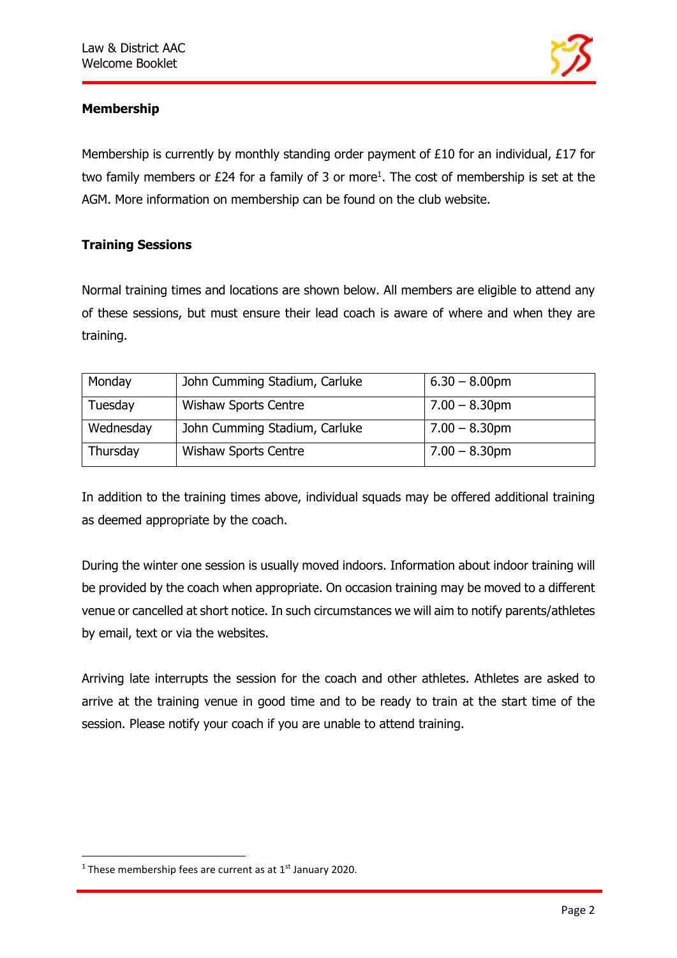

# **Membership**

Membership is currently by monthly standing order payment of £10 for an individual, £17 for two family members or  $E24$  for a family of 3 or more<sup>1</sup>. The cost of membership is set at the AGM. More information on membership can be found on the club website.

## **Training Sessions**

Normal training times and locations are shown below. All members are eligible to attend any of these sessions, but must ensure their lead coach is aware of where and when they are training.

| Monday    | John Cumming Stadium, Carluke | $6.30 - 8.00$ pm |
|-----------|-------------------------------|------------------|
| Tuesday   | <b>Wishaw Sports Centre</b>   | $7.00 - 8.30$ pm |
| Wednesday | John Cumming Stadium, Carluke | $7.00 - 8.30$ pm |
| Thursday  | <b>Wishaw Sports Centre</b>   | $7.00 - 8.30$ pm |

In addition to the training times above, individual squads may be offered additional training as deemed appropriate by the coach.

During the winter one session is usually moved indoors. Information about indoor training will be provided by the coach when appropriate. On occasion training may be moved to a different venue or cancelled at short notice. In such circumstances we will aim to notify parents/athletes by email, text or via the websites.

Arriving late interrupts the session for the coach and other athletes. Athletes are asked to arrive at the training venue in good time and to be ready to train at the start time of the session. Please notify your coach if you are unable to attend training.

<sup>&</sup>lt;sup>1</sup> These membership fees are current as at  $1<sup>st</sup>$  January 2020.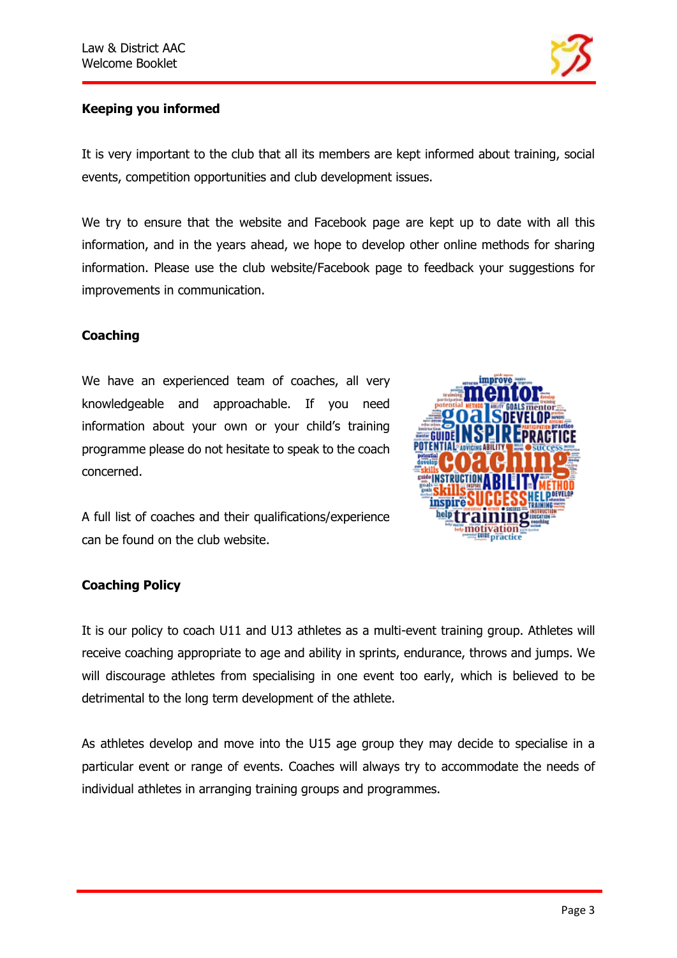

# **Keeping you informed**

It is very important to the club that all its members are kept informed about training, social events, competition opportunities and club development issues.

We try to ensure that the website and Facebook page are kept up to date with all this information, and in the years ahead, we hope to develop other online methods for sharing information. Please use the club website/Facebook page to feedback your suggestions for improvements in communication.

# **Coaching**

We have an experienced team of coaches, all very knowledgeable and approachable. If you need information about your own or your child's training programme please do not hesitate to speak to the coach concerned.



A full list of coaches and their qualifications/experience can be found on the club website.

## **Coaching Policy**

It is our policy to coach U11 and U13 athletes as a multi-event training group. Athletes will receive coaching appropriate to age and ability in sprints, endurance, throws and jumps. We will discourage athletes from specialising in one event too early, which is believed to be detrimental to the long term development of the athlete.

As athletes develop and move into the U15 age group they may decide to specialise in a particular event or range of events. Coaches will always try to accommodate the needs of individual athletes in arranging training groups and programmes.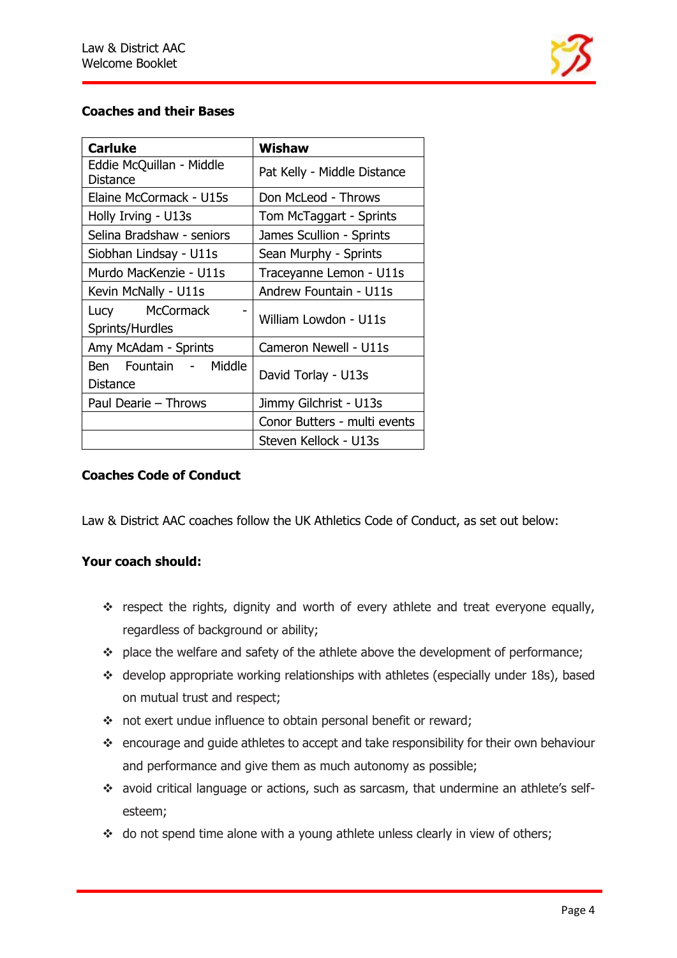

# **Coaches and their Bases**

| <b>Carluke</b>                           | Wishaw                       |
|------------------------------------------|------------------------------|
| Eddie McQuillan - Middle<br>Distance     | Pat Kelly - Middle Distance  |
| Elaine McCormack - U15s                  | Don McLeod - Throws          |
| Holly Irving - U13s                      | Tom McTaggart - Sprints      |
| Selina Bradshaw - seniors                | James Scullion - Sprints     |
| Siobhan Lindsay - U11s                   | Sean Murphy - Sprints        |
| Murdo MacKenzie - U11s                   | Traceyanne Lemon - U11s      |
| Kevin McNally - U11s                     | Andrew Fountain - U11s       |
| Lucy McCormack<br>Sprints/Hurdles        | William Lowdon - U11s        |
| Amy McAdam - Sprints                     | Cameron Newell - U11s        |
| Ben Fountain - Middle<br><b>Distance</b> | David Torlay - U13s          |
| Paul Dearie - Throws                     | Jimmy Gilchrist - U13s       |
|                                          | Conor Butters - multi events |
|                                          | Steven Kellock - U13s        |

## **Coaches Code of Conduct**

Law & District AAC coaches follow the UK Athletics Code of Conduct, as set out below:

#### **Your coach should:**

- ❖ respect the rights, dignity and worth of every athlete and treat everyone equally, regardless of background or ability;
- ❖ place the welfare and safety of the athlete above the development of performance;
- ❖ develop appropriate working relationships with athletes (especially under 18s), based on mutual trust and respect;
- ❖ not exert undue influence to obtain personal benefit or reward;
- ❖ encourage and guide athletes to accept and take responsibility for their own behaviour and performance and give them as much autonomy as possible;
- ❖ avoid critical language or actions, such as sarcasm, that undermine an athlete's selfesteem;
- ❖ do not spend time alone with a young athlete unless clearly in view of others;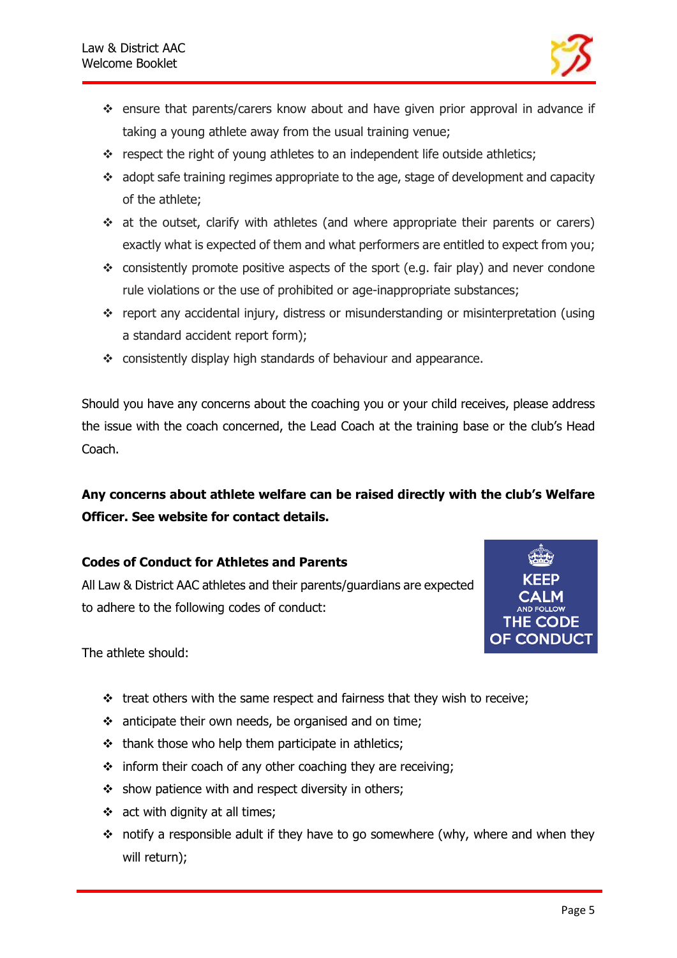

- ❖ ensure that parents/carers know about and have given prior approval in advance if taking a young athlete away from the usual training venue;
- ❖ respect the right of young athletes to an independent life outside athletics;
- ❖ adopt safe training regimes appropriate to the age, stage of development and capacity of the athlete;
- ❖ at the outset, clarify with athletes (and where appropriate their parents or carers) exactly what is expected of them and what performers are entitled to expect from you;
- $\div$  consistently promote positive aspects of the sport (e.g. fair play) and never condone rule violations or the use of prohibited or age-inappropriate substances;
- ❖ report any accidental injury, distress or misunderstanding or misinterpretation (using a standard accident report form);
- ❖ consistently display high standards of behaviour and appearance.

Should you have any concerns about the coaching you or your child receives, please address the issue with the coach concerned, the Lead Coach at the training base or the club's Head Coach.

# **Any concerns about athlete welfare can be raised directly with the club's Welfare Officer. See website for contact details.**

## **Codes of Conduct for Athletes and Parents**

All Law & District AAC athletes and their parents/guardians are expected to adhere to the following codes of conduct:



The athlete should:

- ❖ treat others with the same respect and fairness that they wish to receive;
- ❖ anticipate their own needs, be organised and on time;
- ❖ thank those who help them participate in athletics;
- $\div$  inform their coach of any other coaching they are receiving;
- ❖ show patience with and respect diversity in others;
- $\div$  act with dignity at all times;
- ❖ notify a responsible adult if they have to go somewhere (why, where and when they will return);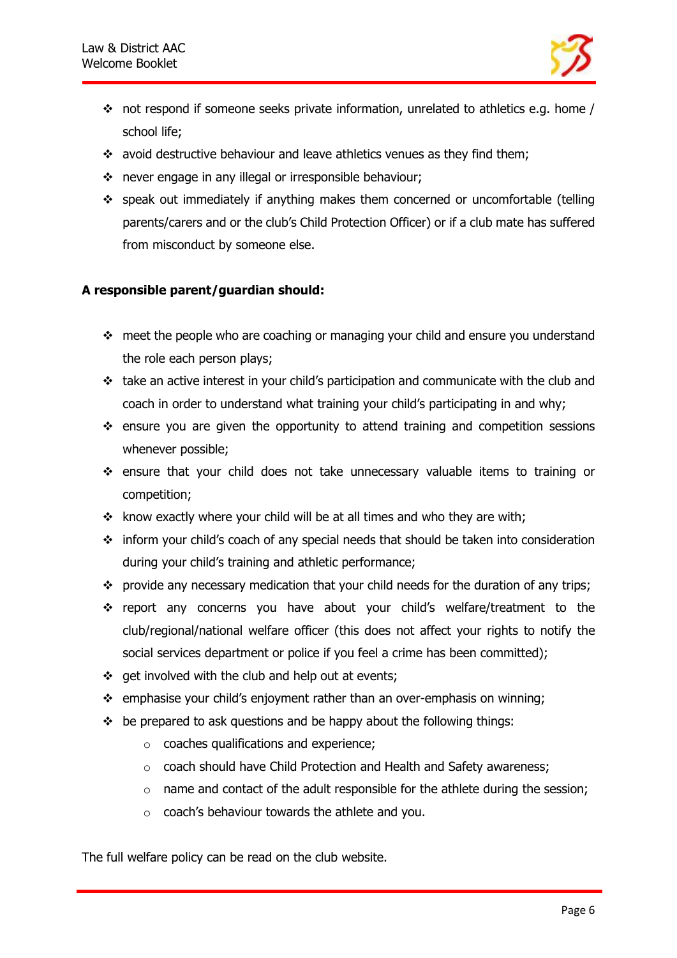

- $\cdot \cdot$  not respond if someone seeks private information, unrelated to athletics e.g. home / school life;
- ❖ avoid destructive behaviour and leave athletics venues as they find them;
- ❖ never engage in any illegal or irresponsible behaviour;
- ❖ speak out immediately if anything makes them concerned or uncomfortable (telling parents/carers and or the club's Child Protection Officer) or if a club mate has suffered from misconduct by someone else.

# **A responsible parent/guardian should:**

- ❖ meet the people who are coaching or managing your child and ensure you understand the role each person plays;
- ❖ take an active interest in your child's participation and communicate with the club and coach in order to understand what training your child's participating in and why;
- ❖ ensure you are given the opportunity to attend training and competition sessions whenever possible;
- ❖ ensure that your child does not take unnecessary valuable items to training or competition;
- ❖ know exactly where your child will be at all times and who they are with;
- ❖ inform your child's coach of any special needs that should be taken into consideration during your child's training and athletic performance;
- ❖ provide any necessary medication that your child needs for the duration of any trips;
- ❖ report any concerns you have about your child's welfare/treatment to the club/regional/national welfare officer (this does not affect your rights to notify the social services department or police if you feel a crime has been committed);
- ❖ get involved with the club and help out at events;
- ❖ emphasise your child's enjoyment rather than an over-emphasis on winning;
- $\div$  be prepared to ask questions and be happy about the following things:
	- o coaches qualifications and experience;
	- o coach should have Child Protection and Health and Safety awareness;
	- o name and contact of the adult responsible for the athlete during the session;
	- o coach's behaviour towards the athlete and you.

The full welfare policy can be read on the club website.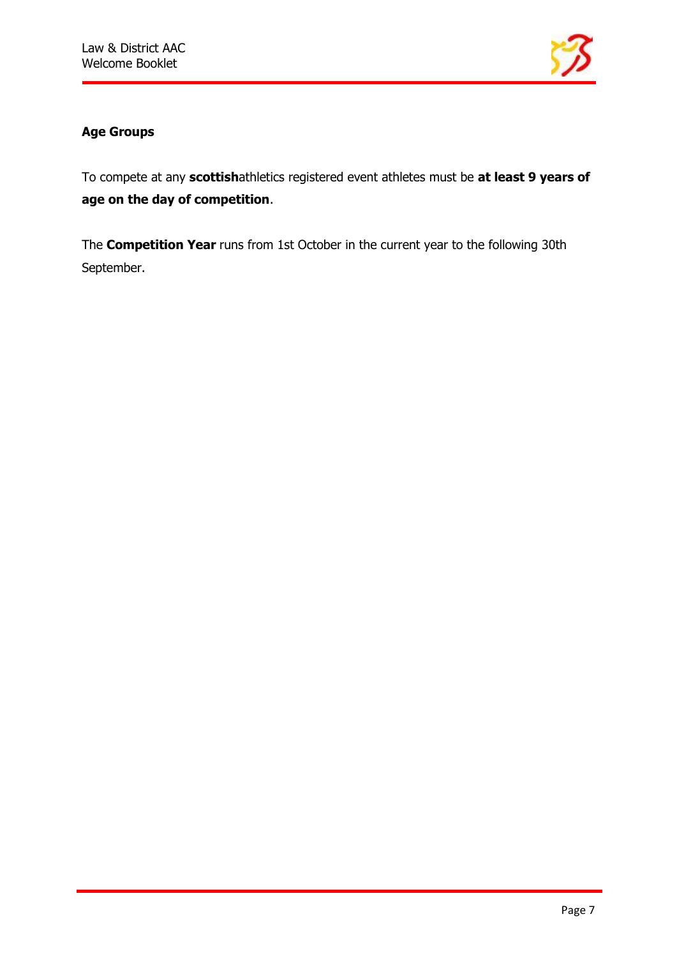

# **Age Groups**

To compete at any **scottish**athletics registered event athletes must be **at least 9 years of age on the day of competition**.

The **Competition Year** runs from 1st October in the current year to the following 30th September.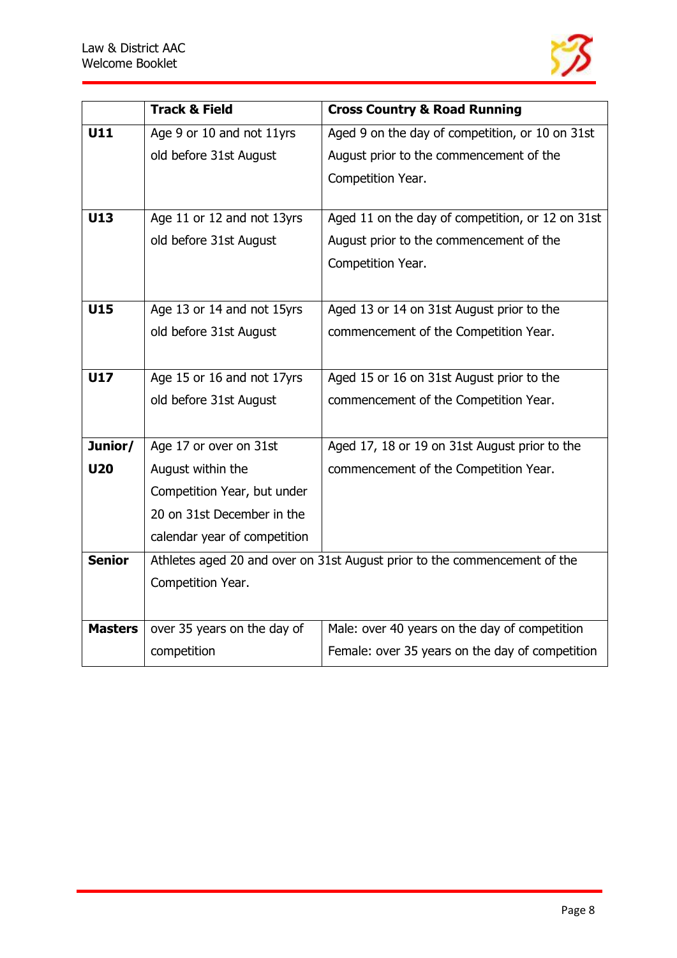

|                | <b>Track &amp; Field</b>                                                  | <b>Cross Country &amp; Road Running</b>          |
|----------------|---------------------------------------------------------------------------|--------------------------------------------------|
| U11            | Age 9 or 10 and not 11yrs                                                 | Aged 9 on the day of competition, or 10 on 31st  |
|                | old before 31st August                                                    | August prior to the commencement of the          |
|                |                                                                           | Competition Year.                                |
|                |                                                                           |                                                  |
| U13            | Age 11 or 12 and not 13yrs                                                | Aged 11 on the day of competition, or 12 on 31st |
|                | old before 31st August                                                    | August prior to the commencement of the          |
|                |                                                                           | Competition Year.                                |
|                |                                                                           |                                                  |
| U15            | Age 13 or 14 and not 15yrs                                                | Aged 13 or 14 on 31st August prior to the        |
|                | old before 31st August                                                    | commencement of the Competition Year.            |
|                |                                                                           |                                                  |
| U17            | Age 15 or 16 and not 17yrs                                                | Aged 15 or 16 on 31st August prior to the        |
|                | old before 31st August                                                    | commencement of the Competition Year.            |
|                |                                                                           |                                                  |
| Junior/        | Age 17 or over on 31st                                                    | Aged 17, 18 or 19 on 31st August prior to the    |
| <b>U20</b>     | August within the                                                         | commencement of the Competition Year.            |
|                | Competition Year, but under                                               |                                                  |
|                | 20 on 31st December in the                                                |                                                  |
|                | calendar year of competition                                              |                                                  |
| <b>Senior</b>  | Athletes aged 20 and over on 31st August prior to the commencement of the |                                                  |
|                | Competition Year.                                                         |                                                  |
|                |                                                                           |                                                  |
|                |                                                                           |                                                  |
| <b>Masters</b> | over 35 years on the day of                                               | Male: over 40 years on the day of competition    |
|                | competition                                                               | Female: over 35 years on the day of competition  |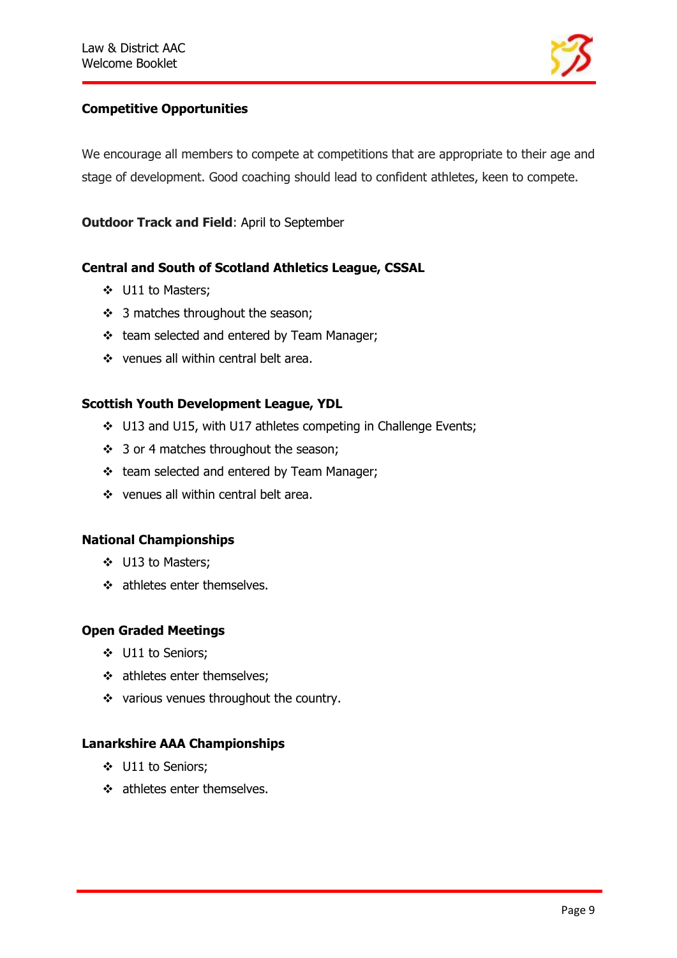

# **Competitive Opportunities**

We encourage all members to compete at competitions that are appropriate to their age and stage of development. Good coaching should lead to confident athletes, keen to compete.

**Outdoor Track and Field**: April to September

## **Central and South of Scotland Athletics League, CSSAL**

- ❖ U11 to Masters;
- ❖ 3 matches throughout the season;
- ❖ team selected and entered by Team Manager;
- ❖ venues all within central belt area.

#### **Scottish Youth Development League, YDL**

- ❖ U13 and U15, with U17 athletes competing in Challenge Events;
- ❖ 3 or 4 matches throughout the season;
- ❖ team selected and entered by Team Manager;
- ❖ venues all within central belt area.

#### **National Championships**

- ❖ U13 to Masters;
- ❖ athletes enter themselves.

## **Open Graded Meetings**

- ❖ U11 to Seniors;
- ❖ athletes enter themselves;
- ❖ various venues throughout the country.

## **Lanarkshire AAA Championships**

- ❖ U11 to Seniors;
- ❖ athletes enter themselves.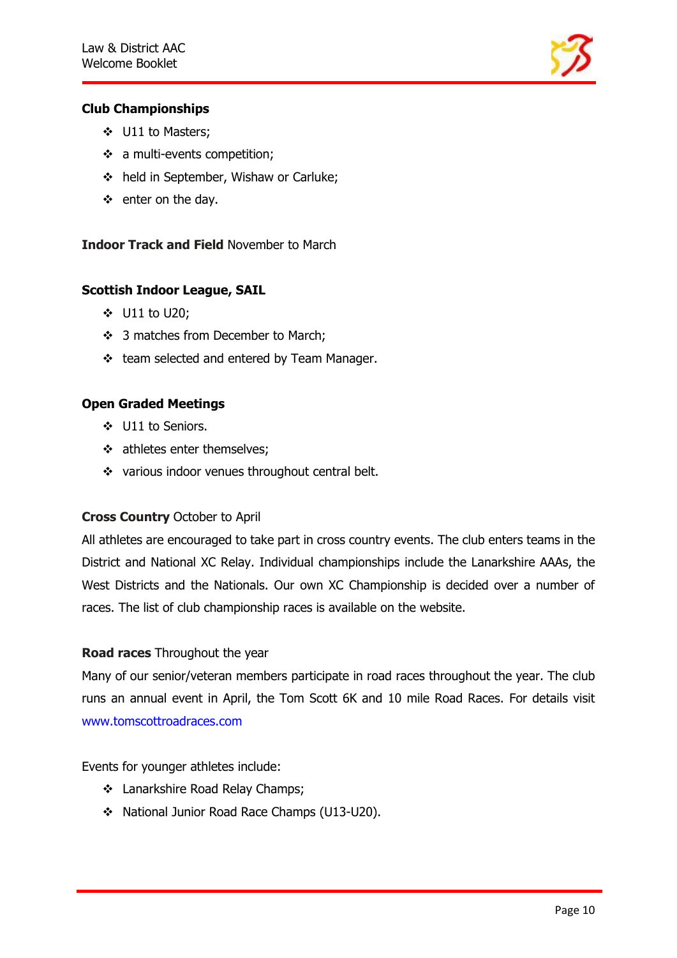

## **Club Championships**

- ❖ U11 to Masters;
- ❖ a multi-events competition;
- ❖ held in September, Wishaw or Carluke;
- ❖ enter on the day.

## **Indoor Track and Field** November to March

# **Scottish Indoor League, SAIL**

- ❖ U11 to U20;
- ❖ 3 matches from December to March;
- ❖ team selected and entered by Team Manager.

# **Open Graded Meetings**

- ❖ U11 to Seniors.
- ❖ athletes enter themselves;
- ❖ various indoor venues throughout central belt.

## **Cross Country** October to April

All athletes are encouraged to take part in cross country events. The club enters teams in the District and National XC Relay. Individual championships include the Lanarkshire AAAs, the West Districts and the Nationals. Our own XC Championship is decided over a number of races. The list of club championship races is available on the website.

## **Road races** Throughout the year

Many of our senior/veteran members participate in road races throughout the year. The club runs an annual event in April, the Tom Scott 6K and 10 mile Road Races. For details visit www.tomscottroadraces.com

## Events for younger athletes include:

- ❖ Lanarkshire Road Relay Champs;
- ❖ National Junior Road Race Champs (U13-U20).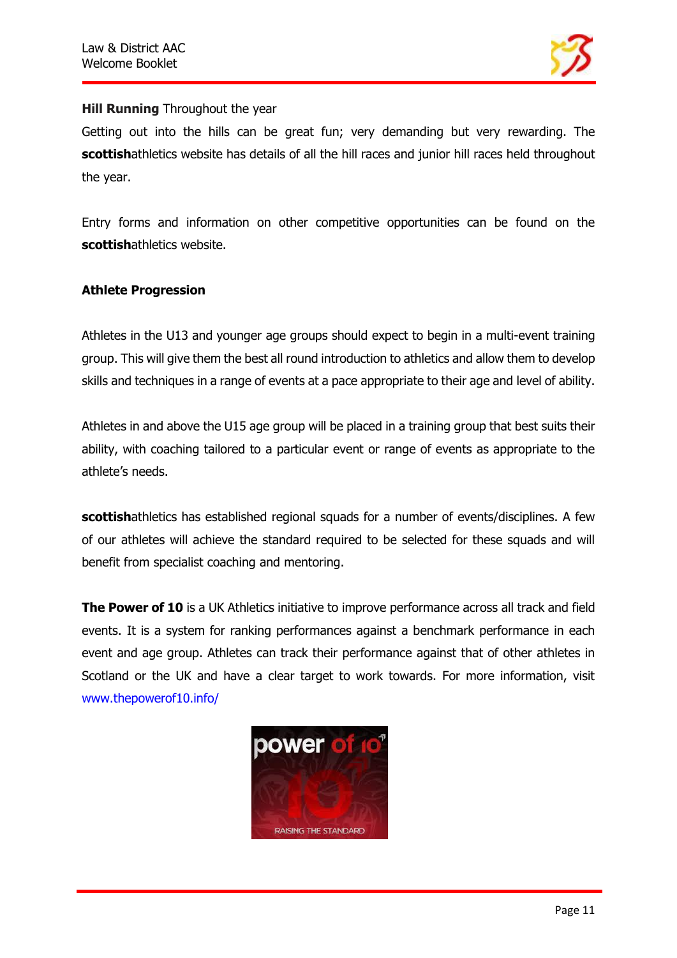

## **Hill Running** Throughout the year

Getting out into the hills can be great fun; very demanding but very rewarding. The **scottish**athletics website has details of all the hill races and junior hill races held throughout the year.

Entry forms and information on other competitive opportunities can be found on the **scottish**athletics website.

## **Athlete Progression**

Athletes in the U13 and younger age groups should expect to begin in a multi-event training group. This will give them the best all round introduction to athletics and allow them to develop skills and techniques in a range of events at a pace appropriate to their age and level of ability.

Athletes in and above the U15 age group will be placed in a training group that best suits their ability, with coaching tailored to a particular event or range of events as appropriate to the athlete's needs.

**scottishathletics has established regional squads for a number of events/disciplines. A few** of our athletes will achieve the standard required to be selected for these squads and will benefit from specialist coaching and mentoring.

**The Power of 10** is a UK Athletics initiative to improve performance across all track and field events. It is a system for ranking performances against a benchmark performance in each event and age group. Athletes can track their performance against that of other athletes in Scotland or the UK and have a clear target to work towards. For more information, visit www.thepowerof10.info/

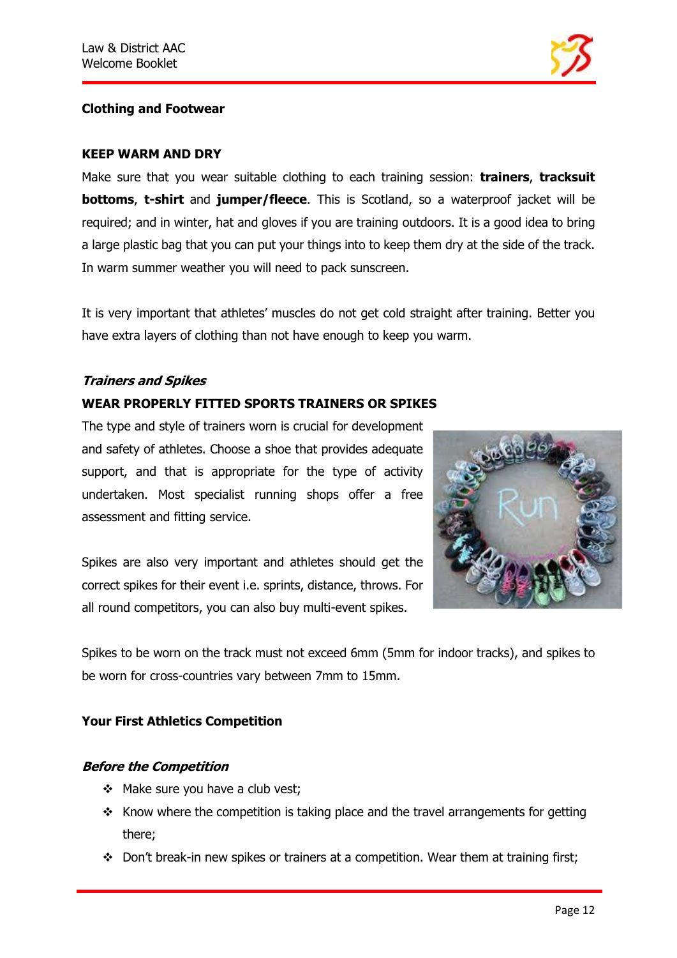

# **Clothing and Footwear**

#### **KEEP WARM AND DRY**

Make sure that you wear suitable clothing to each training session: **trainers**, **tracksuit bottoms**, **t-shirt** and **jumper/fleece**. This is Scotland, so a waterproof jacket will be required; and in winter, hat and gloves if you are training outdoors. It is a good idea to bring a large plastic bag that you can put your things into to keep them dry at the side of the track. In warm summer weather you will need to pack sunscreen.

It is very important that athletes' muscles do not get cold straight after training. Better you have extra layers of clothing than not have enough to keep you warm.

#### **Trainers and Spikes**

# **WEAR PROPERLY FITTED SPORTS TRAINERS OR SPIKES**

The type and style of trainers worn is crucial for development and safety of athletes. Choose a shoe that provides adequate support, and that is appropriate for the type of activity undertaken. Most specialist running shops offer a free assessment and fitting service.

Spikes are also very important and athletes should get the correct spikes for their event i.e. sprints, distance, throws. For all round competitors, you can also buy multi-event spikes.



Spikes to be worn on the track must not exceed 6mm (5mm for indoor tracks), and spikes to be worn for cross-countries vary between 7mm to 15mm.

## **Your First Athletics Competition**

## **Before the Competition**

- ❖ Make sure you have a club vest;
- ❖ Know where the competition is taking place and the travel arrangements for getting there;
- ❖ Don't break-in new spikes or trainers at a competition. Wear them at training first;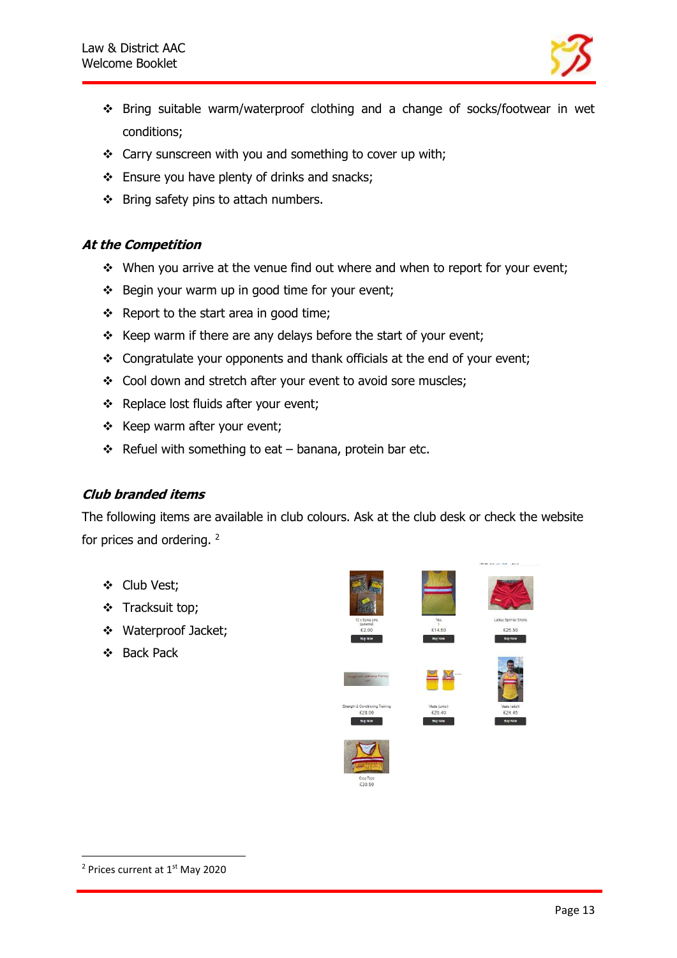

- ❖ Bring suitable warm/waterproof clothing and a change of socks/footwear in wet conditions;
- ❖ Carry sunscreen with you and something to cover up with;
- ❖ Ensure you have plenty of drinks and snacks;
- ❖ Bring safety pins to attach numbers.

#### **At the Competition**

- ❖ When you arrive at the venue find out where and when to report for your event;
- ❖ Begin your warm up in good time for your event;
- ❖ Report to the start area in good time;
- ❖ Keep warm if there are any delays before the start of your event;
- ❖ Congratulate your opponents and thank officials at the end of your event;
- ❖ Cool down and stretch after your event to avoid sore muscles;
- ❖ Replace lost fluids after your event;
- ❖ Keep warm after your event;
- ❖ Refuel with something to eat banana, protein bar etc.

## **Club branded items**

The following items are available in club colours. Ask at the club desk or check the website for prices and ordering. <sup>2</sup>

- ❖ Club Vest;
- ❖ Tracksuit top;
- ❖ Waterproof Jacket;
- ❖ Back Pack



<sup>&</sup>lt;sup>2</sup> Prices current at 1<sup>st</sup> May 2020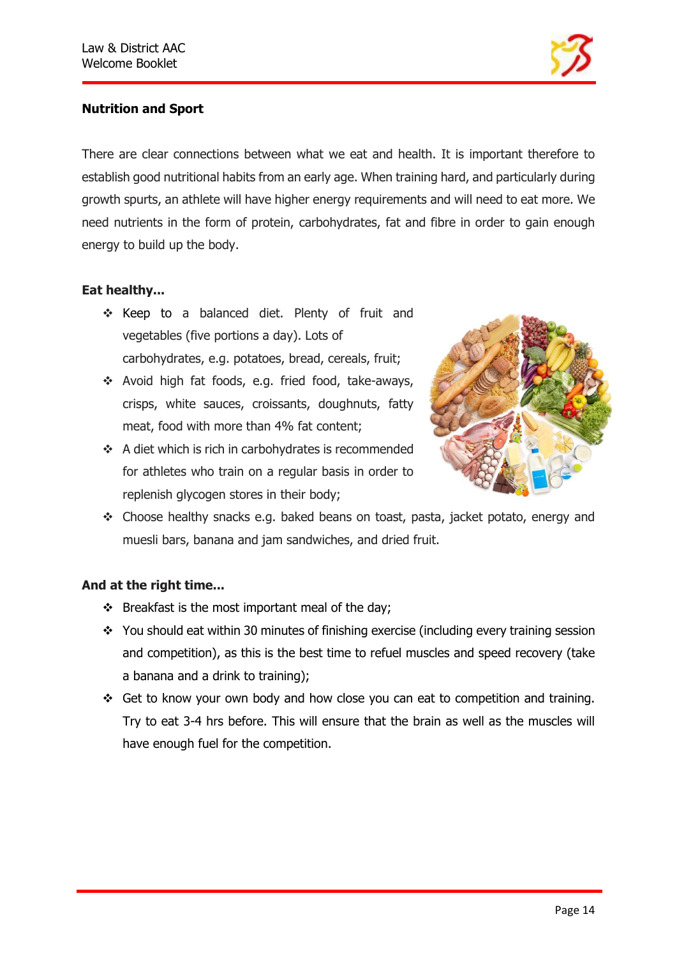

# **Nutrition and Sport**

There are clear connections between what we eat and health. It is important therefore to establish good nutritional habits from an early age. When training hard, and particularly during growth spurts, an athlete will have higher energy requirements and will need to eat more. We need nutrients in the form of protein, carbohydrates, fat and fibre in order to gain enough energy to build up the body.

# **Eat healthy...**

- ❖ Keep to a balanced diet. Plenty of fruit and vegetables (five portions a day). Lots of carbohydrates, e.g. potatoes, bread, cereals, fruit;
- ❖ Avoid high fat foods, e.g. fried food, take-aways, crisps, white sauces, croissants, doughnuts, fatty meat, food with more than 4% fat content;
- ❖ A diet which is rich in carbohydrates is recommended for athletes who train on a regular basis in order to replenish glycogen stores in their body;



❖ Choose healthy snacks e.g. baked beans on toast, pasta, jacket potato, energy and muesli bars, banana and jam sandwiches, and dried fruit.

## **And at the right time...**

- ❖ Breakfast is the most important meal of the day;
- ❖ You should eat within 30 minutes of finishing exercise (including every training session and competition), as this is the best time to refuel muscles and speed recovery (take a banana and a drink to training);
- ❖ Get to know your own body and how close you can eat to competition and training. Try to eat 3-4 hrs before. This will ensure that the brain as well as the muscles will have enough fuel for the competition.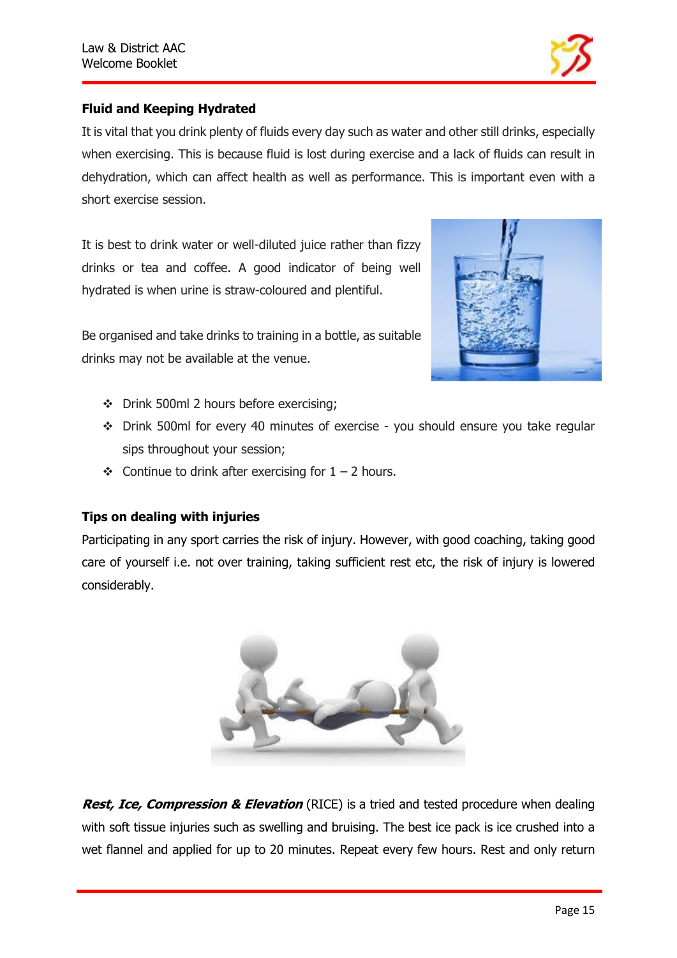

# **Fluid and Keeping Hydrated**

It is vital that you drink plenty of fluids every day such as water and other still drinks, especially when exercising. This is because fluid is lost during exercise and a lack of fluids can result in dehydration, which can affect health as well as performance. This is important even with a short exercise session.

It is best to drink water or well-diluted juice rather than fizzy drinks or tea and coffee. A good indicator of being well hydrated is when urine is straw-coloured and plentiful.



- Be organised and take drinks to training in a bottle, as suitable drinks may not be available at the venue.
	- ❖ Drink 500ml 2 hours before exercising;
	- ❖ Drink 500ml for every 40 minutes of exercise you should ensure you take regular sips throughout your session;
	- ❖ Continue to drink after exercising for 1 2 hours.

## **Tips on dealing with injuries**

Participating in any sport carries the risk of injury. However, with good coaching, taking good care of yourself i.e. not over training, taking sufficient rest etc, the risk of injury is lowered considerably.



**Rest, Ice, Compression & Elevation** (RICE) is a tried and tested procedure when dealing with soft tissue injuries such as swelling and bruising. The best ice pack is ice crushed into a wet flannel and applied for up to 20 minutes. Repeat every few hours. Rest and only return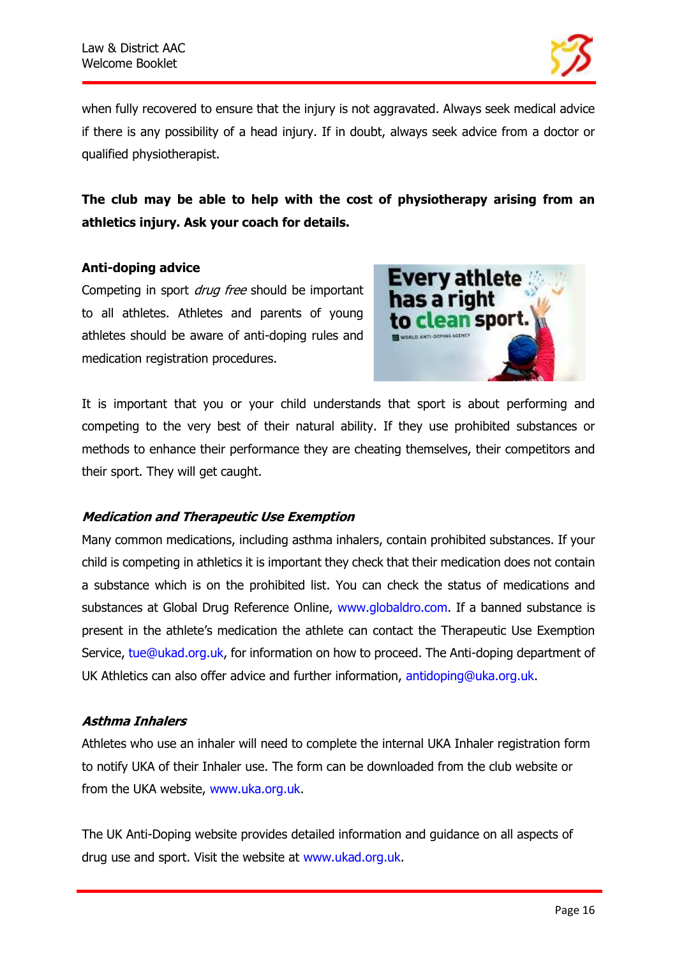

when fully recovered to ensure that the injury is not aggravated. Always seek medical advice if there is any possibility of a head injury. If in doubt, always seek advice from a doctor or qualified physiotherapist.

# **The club may be able to help with the cost of physiotherapy arising from an athletics injury. Ask your coach for details.**

#### **Anti-doping advice**

Competing in sport *drug free* should be important to all athletes. Athletes and parents of young athletes should be aware of anti-doping rules and medication registration procedures.



It is important that you or your child understands that sport is about performing and competing to the very best of their natural ability. If they use prohibited substances or methods to enhance their performance they are cheating themselves, their competitors and their sport. They will get caught.

## **Medication and Therapeutic Use Exemption**

Many common medications, including asthma inhalers, contain prohibited substances. If your child is competing in athletics it is important they check that their medication does not contain a substance which is on the prohibited list. You can check the status of medications and substances at Global Drug Reference Online, www.globaldro.com. If a banned substance is present in the athlete's medication the athlete can contact the Therapeutic Use Exemption Service, tue@ukad.org.uk, for information on how to proceed. The Anti-doping department of UK Athletics can also offer advice and further information, antidoping@uka.org.uk.

## **Asthma Inhalers**

Athletes who use an inhaler will need to complete the internal UKA Inhaler registration form to notify UKA of their Inhaler use. The form can be downloaded from the club website or from the UKA website, www.uka.org.uk.

The UK Anti-Doping website provides detailed information and guidance on all aspects of drug use and sport. Visit the website at www.ukad.org.uk.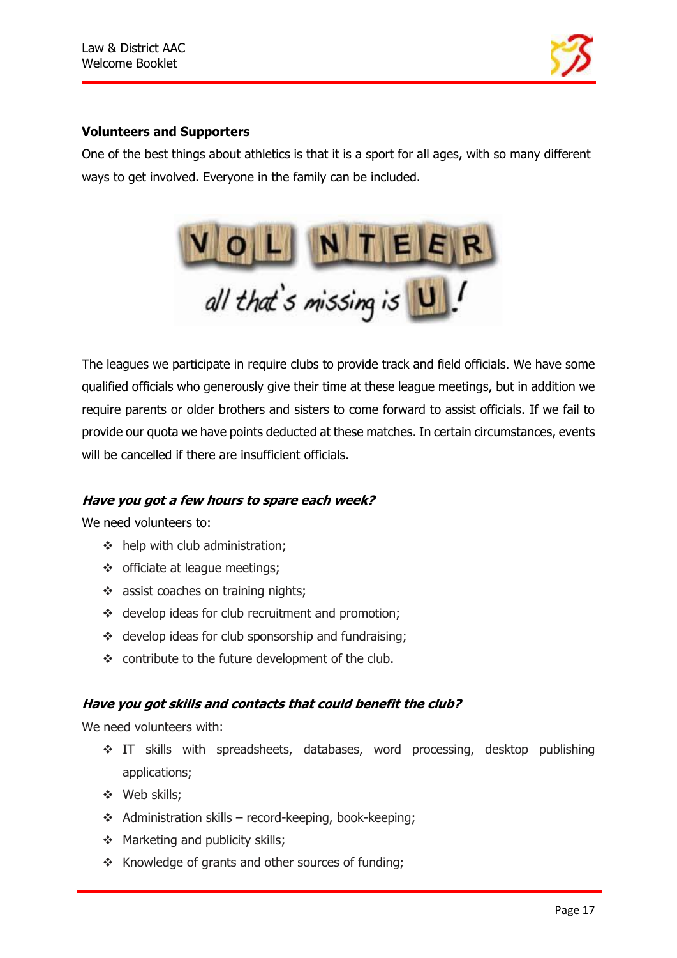

#### **Volunteers and Supporters**

One of the best things about athletics is that it is a sport for all ages, with so many different ways to get involved. Everyone in the family can be included.



The leagues we participate in require clubs to provide track and field officials. We have some qualified officials who generously give their time at these league meetings, but in addition we require parents or older brothers and sisters to come forward to assist officials. If we fail to provide our quota we have points deducted at these matches. In certain circumstances, events will be cancelled if there are insufficient officials.

#### **Have you got a few hours to spare each week?**

We need volunteers to:

- ❖ help with club administration;
- ❖ officiate at league meetings;
- ❖ assist coaches on training nights;
- ❖ develop ideas for club recruitment and promotion;
- ❖ develop ideas for club sponsorship and fundraising;
- ❖ contribute to the future development of the club.

#### **Have you got skills and contacts that could benefit the club?**

We need volunteers with:

- ❖ IT skills with spreadsheets, databases, word processing, desktop publishing applications;
- ❖ Web skills;
- ❖ Administration skills record-keeping, book-keeping;
- ❖ Marketing and publicity skills;
- ❖ Knowledge of grants and other sources of funding;